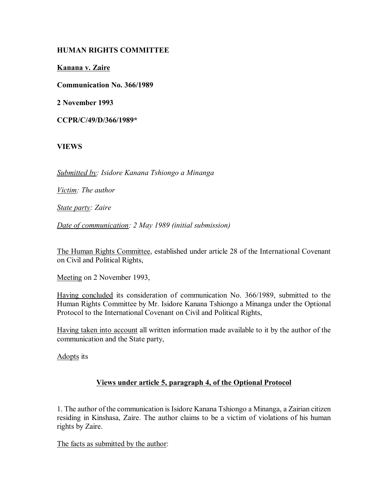# **HUMAN RIGHTS COMMITTEE**

**Kanana v. Zaire**

**Communication No. 366/1989**

**2 November 1993**

**CCPR/C/49/D/366/1989\***

#### **VIEWS**

*Submitted by: Isidore Kanana Tshiongo a Minanga*

*Victim: The author*

*State party: Zaire*

*Date of communication: 2 May 1989 (initial submission)*

The Human Rights Committee, established under article 28 of the International Covenant on Civil and Political Rights,

Meeting on 2 November 1993,

Having concluded its consideration of communication No. 366/1989, submitted to the Human Rights Committee by Mr. Isidore Kanana Tshiongo a Minanga under the Optional Protocol to the International Covenant on Civil and Political Rights,

Having taken into account all written information made available to it by the author of the communication and the State party,

Adopts its

# **Views under article 5, paragraph 4, of the Optional Protocol**

1. The author of the communication is Isidore Kanana Tshiongo a Minanga, a Zairian citizen residing in Kinshasa, Zaire. The author claims to be a victim of violations of his human rights by Zaire.

The facts as submitted by the author: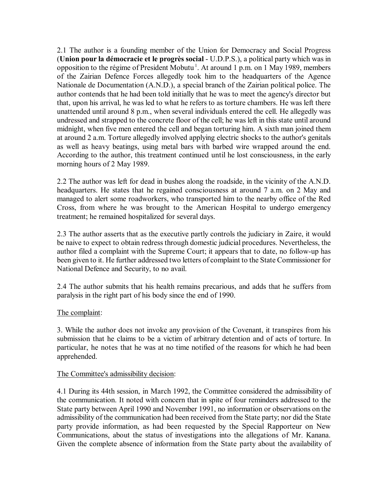2.1 The author is a founding member of the Union for Democracy and Social Progress (**Union pour la démocracie et le progrès social** - U.D.P.S.), a political party which was in opposition to the régime of President Mobutu<sup>1</sup>. At around 1 p.m. on 1 May 1989, members of the Zairian Defence Forces allegedly took him to the headquarters of the Agence Nationale de Documentation (A.N.D.), a special branch of the Zairian political police. The author contends that he had been told initially that he was to meet the agency's director but that, upon his arrival, he was led to what he refers to as torture chambers. He was left there unattended until around 8 p.m., when several individuals entered the cell. He allegedly was undressed and strapped to the concrete floor of the cell; he was left in this state until around midnight, when five men entered the cell and began torturing him. A sixth man joined them at around 2 a.m. Torture allegedly involved applying electric shocks to the author's genitals as well as heavy beatings, using metal bars with barbed wire wrapped around the end. According to the author, this treatment continued until he lost consciousness, in the early morning hours of 2 May 1989.

2.2 The author was left for dead in bushes along the roadside, in the vicinity of the A.N.D. headquarters. He states that he regained consciousness at around 7 a.m. on 2 May and managed to alert some roadworkers, who transported him to the nearby office of the Red Cross, from where he was brought to the American Hospital to undergo emergency treatment; he remained hospitalized for several days.

2.3 The author asserts that as the executive partly controls the judiciary in Zaire, it would be naive to expect to obtain redress through domestic judicial procedures. Nevertheless, the author filed a complaint with the Supreme Court; it appears that to date, no follow-up has been given to it. He further addressed two letters of complaint to the State Commissioner for National Defence and Security, to no avail.

2.4 The author submits that his health remains precarious, and adds that he suffers from paralysis in the right part of his body since the end of 1990.

# The complaint:

3. While the author does not invoke any provision of the Covenant, it transpires from his submission that he claims to be a victim of arbitrary detention and of acts of torture. In particular, he notes that he was at no time notified of the reasons for which he had been apprehended.

#### The Committee's admissibility decision:

4.1 During its 44th session, in March 1992, the Committee considered the admissibility of the communication. It noted with concern that in spite of four reminders addressed to the State party between April 1990 and November 1991, no information or observations on the admissibility of the communication had been received from the State party; nor did the State party provide information, as had been requested by the Special Rapporteur on New Communications, about the status of investigations into the allegations of Mr. Kanana. Given the complete absence of information from the State party about the availability of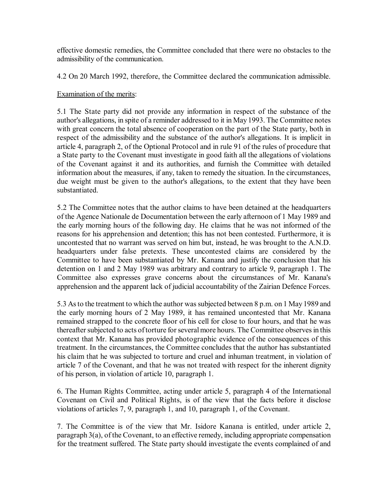effective domestic remedies, the Committee concluded that there were no obstacles to the admissibility of the communication.

4.2 On 20 March 1992, therefore, the Committee declared the communication admissible.

#### Examination of the merits:

5.1 The State party did not provide any information in respect of the substance of the author's allegations, in spite of a reminder addressed to it in May 1993. The Committee notes with great concern the total absence of cooperation on the part of the State party, both in respect of the admissibility and the substance of the author's allegations. It is implicit in article 4, paragraph 2, of the Optional Protocol and in rule 91 of the rules of procedure that a State party to the Covenant must investigate in good faith all the allegations of violations of the Covenant against it and its authorities, and furnish the Committee with detailed information about the measures, if any, taken to remedy the situation. In the circumstances, due weight must be given to the author's allegations, to the extent that they have been substantiated.

5.2 The Committee notes that the author claims to have been detained at the headquarters of the Agence Nationale de Documentation between the early afternoon of 1 May 1989 and the early morning hours of the following day. He claims that he was not informed of the reasons for his apprehension and detention; this has not been contested. Furthermore, it is uncontested that no warrant was served on him but, instead, he was brought to the A.N.D. headquarters under false pretexts. These uncontested claims are considered by the Committee to have been substantiated by Mr. Kanana and justify the conclusion that his detention on 1 and 2 May 1989 was arbitrary and contrary to article 9, paragraph 1. The Committee also expresses grave concerns about the circumstances of Mr. Kanana's apprehension and the apparent lack of judicial accountability of the Zairian Defence Forces.

5.3 As to the treatment to which the author was subjected between 8 p.m. on 1 May 1989 and the early morning hours of 2 May 1989, it has remained uncontested that Mr. Kanana remained strapped to the concrete floor of his cell for close to four hours, and that he was thereafter subjected to acts of torture for several more hours. The Committee observes in this context that Mr. Kanana has provided photographic evidence of the consequences of this treatment. In the circumstances, the Committee concludes that the author has substantiated his claim that he was subjected to torture and cruel and inhuman treatment, in violation of article 7 of the Covenant, and that he was not treated with respect for the inherent dignity of his person, in violation of article 10, paragraph 1.

6. The Human Rights Committee, acting under article 5, paragraph 4 of the International Covenant on Civil and Political Rights, is of the view that the facts before it disclose violations of articles 7, 9, paragraph 1, and 10, paragraph 1, of the Covenant.

7. The Committee is of the view that Mr. Isidore Kanana is entitled, under article 2, paragraph 3(a), of the Covenant, to an effective remedy, including appropriate compensation for the treatment suffered. The State party should investigate the events complained of and